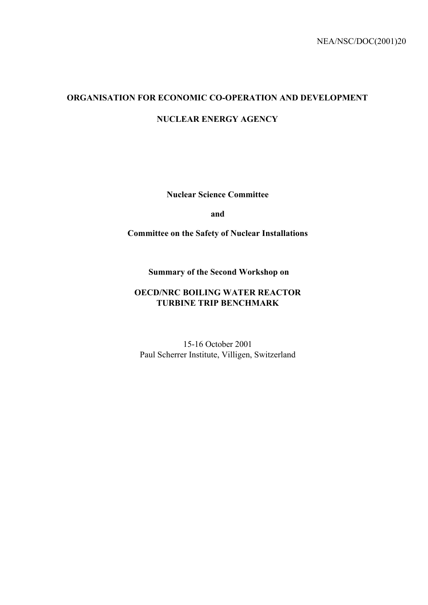# **ORGANISATION FOR ECONOMIC CO-OPERATION AND DEVELOPMENT**

**NUCLEAR ENERGY AGENCY**

**Nuclear Science Committee**

**and** 

**Committee on the Safety of Nuclear Installations**

 **Summary of the Second Workshop on**

# **OECD/NRC BOILING WATER REACTOR TURBINE TRIP BENCHMARK**

15-16 October 2001 Paul Scherrer Institute, Villigen, Switzerland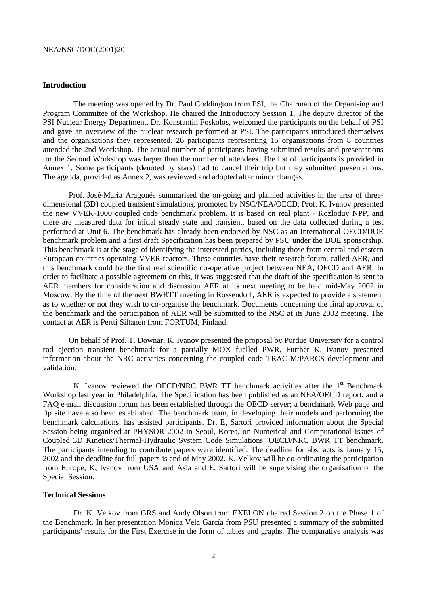### **Introduction**

The meeting was opened by Dr. Paul Coddington from PSI, the Chairman of the Organising and Program Committee of the Workshop. He chaired the Introductory Session 1. The deputy director of the PSI Nuclear Energy Department, Dr. Konstantin Foskolos, welcomed the participants on the behalf of PSI and gave an overview of the nuclear research performed at PSI. The participants introduced themselves and the organisations they represented. 26 participants representing 15 organisations from 8 countries attended the 2nd Workshop. The actual number of participants having submitted results and presentations for the Second Workshop was larger than the number of attendees. The list of participants is provided in Annex 1. Some participants (denoted by stars) had to cancel their trip but they submitted presentations. The agenda, provided as Annex 2, was reviewed and adopted after minor changes.

Prof. José-María Aragonés summarised the on-going and planned activities in the area of threedimensional (3D) coupled transient simulations, promoted by NSC/NEA/OECD. Prof. K. Ivanov presented the new VVER-1000 coupled code benchmark problem. It is based on real plant - Kozloduy NPP, and there are measured data for initial steady state and transient, based on the data collected during a test performed at Unit 6. The benchmark has already been endorsed by NSC as an International OECD/DOE benchmark problem and a first draft Specification has been prepared by PSU under the DOE sponsorship. This benchmark is at the stage of identifying the interested parties, including those from central and eastern European countries operating VVER reactors. These countries have their research forum, called AER, and this benchmark could be the first real scientific co-operative project between NEA, OECD and AER. In order to facilitate a possible agreement on this, it was suggested that the draft of the specification is sent to AER members for consideration and discussion AER at its next meeting to be held mid-May 2002 in Moscow. By the time of the next BWRTT meeting in Rossendorf, AER is expected to provide a statement as to whether or not they wish to co-organise the benchmark. Documents concerning the final approval of the benchmark and the participation of AER will be submitted to the NSC at its June 2002 meeting. The contact at AER is Pertti Siltanen from FORTUM, Finland.

On behalf of Prof. T. Downar, K. Ivanov presented the proposal by Purdue University for a control rod ejection transient benchmark for a partially MOX fuelled PWR. Further K. Ivanov presented information about the NRC activities concerning the coupled code TRAC-M/PARCS development and validation.

K. Ivanov reviewed the OECD/NRC BWR TT benchmark activities after the  $1<sup>st</sup>$  Benchmark Workshop last year in Philadelphia. The Specification has been published as an NEA/OECD report, and a FAQ e-mail discussion forum has been established through the OECD server; a benchmark Web page and ftp site have also been established. The benchmark team, in developing their models and performing the benchmark calculations, has assisted participants. Dr. E, Sartori provided information about the Special Session being organised at PHYSOR 2002 in Seoul, Korea, on Numerical and Computational Issues of Coupled 3D Kinetics/Thermal-Hydraulic System Code Simulations: OECD/NRC BWR TT benchmark. The participants intending to contribute papers were identified. The deadline for abstracts is January 15, 2002 and the deadline for full papers is end of May 2002. K. Velkov will be co-ordinating the participation from Europe, K, Ivanov from USA and Asia and E. Sartori will be supervising the organisation of the Special Session.

### **Technical Sessions**

Dr. K. Velkov from GRS and Andy Olson from EXELON chaired Session 2 on the Phase 1 of the Benchmark. In her presentation Mónica Vela García from PSU presented a summary of the submitted participants' results for the First Exercise in the form of tables and graphs. The comparative analysis was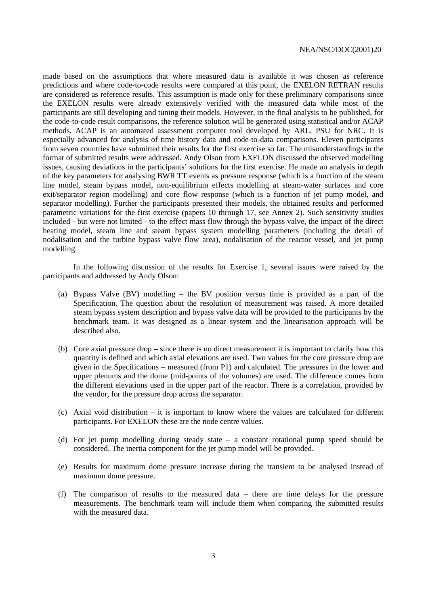made based on the assumptions that where measured data is available it was chosen as reference predictions and where code-to-code results were compared at this point, the EXELON RETRAN results are considered as reference results. This assumption is made only for these preliminary comparisons since the EXELON results were already extensively verified with the measured data while most of the participants are still developing and tuning their models. However, in the final analysis to be published, for the code-to-code result comparisons, the reference solution will be generated using statistical and/or ACAP methods. ACAP is an automated assessment computer tool developed by ARL, PSU for NRC. It is especially advanced for analysis of time history data and code-to-data comparisons. Eleven participants from seven countries have submitted their results for the first exercise so far. The misunderstandings in the format of submitted results were addressed. Andy Olson from EXELON discussed the observed modelling issues, causing deviations in the participants' solutions for the first exercise. He made an analysis in depth of the key parameters for analysing BWR TT events as pressure response (which is a function of the steam line model, steam bypass model, non-equilibrium effects modelling at steam-water surfaces and core exit/separator region modelling) and core flow response (which is a function of jet pump model, and separator modelling). Further the participants presented their models, the obtained results and performed parametric variations for the first exercise (papers 10 through 17, see Annex 2). Such sensitivity studies included - but were not limited - to the effect mass flow through the bypass valve, the impact of the direct heating model, steam line and steam bypass system modelling parameters (including the detail of nodalisation and the turbine bypass valve flow area), nodalisation of the reactor vessel, and jet pump modelling.

In the following discussion of the results for Exercise 1, several issues were raised by the participants and addressed by Andy Olson:

- (a) Bypass Valve (BV) modelling the BV position versus time is provided as a part of the Specification. The question about the resolution of measurement was raised. A more detailed steam bypass system description and bypass valve data will be provided to the participants by the benchmark team. It was designed as a linear system and the linearisation approach will be described also.
- (b) Core axial pressure drop since there is no direct measurement it is important to clarify how this quantity is defined and which axial elevations are used. Two values for the core pressure drop are given in the Specifications – measured (from P1) and calculated. The pressures in the lower and upper plenums and the dome (mid-points of the volumes) are used. The difference comes from the different elevations used in the upper part of the reactor. There is a correlation, provided by the vendor, for the pressure drop across the separator.
- (c) Axial void distribution it is important to know where the values are calculated for different participants. For EXELON these are the node centre values.
- (d) For jet pump modelling during steady state a constant rotational pump speed should be considered. The inertia component for the jet pump model will be provided.
- (e) Results for maximum dome pressure increase during the transient to be analysed instead of maximum dome pressure.
- (f) The comparison of results to the measured data there are time delays for the pressure measurements. The benchmark team will include them when comparing the submitted results with the measured data.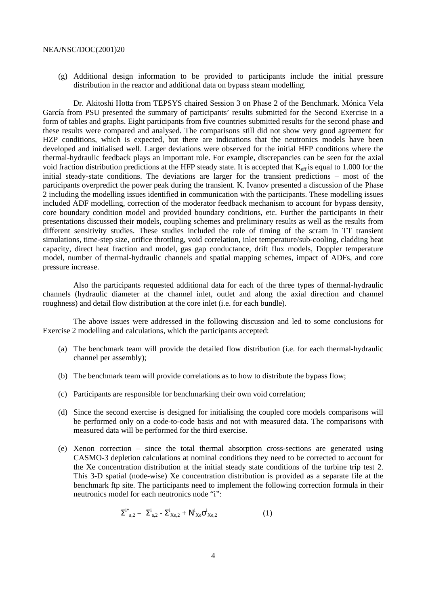(g) Additional design information to be provided to participants include the initial pressure distribution in the reactor and additional data on bypass steam modelling.

Dr. Akitoshi Hotta from TEPSYS chaired Session 3 on Phase 2 of the Benchmark. Mónica Vela García from PSU presented the summary of participants' results submitted for the Second Exercise in a form of tables and graphs. Eight participants from five countries submitted results for the second phase and these results were compared and analysed. The comparisons still did not show very good agreement for HZP conditions, which is expected, but there are indications that the neutronics models have been developed and initialised well. Larger deviations were observed for the initial HFP conditions where the thermal-hydraulic feedback plays an important role. For example, discrepancies can be seen for the axial void fraction distribution predictions at the HFP steady state. It is accepted that  $K_{\text{eff}}$  is equal to 1.000 for the initial steady-state conditions. The deviations are larger for the transient predictions – most of the participants overpredict the power peak during the transient. K. Ivanov presented a discussion of the Phase 2 including the modelling issues identified in communication with the participants. These modelling issues included ADF modelling, correction of the moderator feedback mechanism to account for bypass density, core boundary condition model and provided boundary conditions, etc. Further the participants in their presentations discussed their models, coupling schemes and preliminary results as well as the results from different sensitivity studies. These studies included the role of timing of the scram in TT transient simulations, time-step size, orifice throttling, void correlation, inlet temperature/sub-cooling, cladding heat capacity, direct heat fraction and model, gas gap conductance, drift flux models, Doppler temperature model, number of thermal-hydraulic channels and spatial mapping schemes, impact of ADFs, and core pressure increase.

Also the participants requested additional data for each of the three types of thermal-hydraulic channels (hydraulic diameter at the channel inlet, outlet and along the axial direction and channel roughness) and detail flow distribution at the core inlet (i.e. for each bundle).

The above issues were addressed in the following discussion and led to some conclusions for Exercise 2 modelling and calculations, which the participants accepted:

- (a) The benchmark team will provide the detailed flow distribution (i.e. for each thermal-hydraulic channel per assembly);
- (b) The benchmark team will provide correlations as to how to distribute the bypass flow;
- (c) Participants are responsible for benchmarking their own void correlation;
- (d) Since the second exercise is designed for initialising the coupled core models comparisons will be performed only on a code-to-code basis and not with measured data. The comparisons with measured data will be performed for the third exercise.
- (e) Xenon correction since the total thermal absorption cross-sections are generated using CASMO-3 depletion calculations at nominal conditions they need to be corrected to account for the Xe concentration distribution at the initial steady state conditions of the turbine trip test 2. This 3-D spatial (node-wise) Xe concentration distribution is provided as a separate file at the benchmark ftp site. The participants need to implement the following correction formula in their neutronics model for each neutronics node "i":

$$
\Sigma^{i^{*}}{}_{a,2} = \Sigma^{i}{}_{a,2} - \Sigma^{i}{}_{Xe,2} + N^{i}{}_{Xe}\sigma^{i}{}_{Xe,2}
$$
 (1)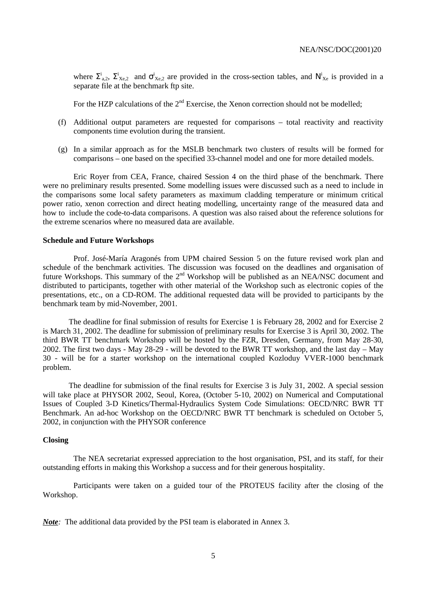where  $\Sigma^i_{a,2}$ ,  $\Sigma^i_{Xe,2}$  and  $\sigma^i_{Xe,2}$  are provided in the cross-section tables, and  $N^i_{Xe}$  is provided in a separate file at the benchmark ftp site.

For the HZP calculations of the  $2<sup>nd</sup>$  Exercise, the Xenon correction should not be modelled;

- (f) Additional output parameters are requested for comparisons total reactivity and reactivity components time evolution during the transient.
- (g) In a similar approach as for the MSLB benchmark two clusters of results will be formed for comparisons – one based on the specified 33-channel model and one for more detailed models.

Eric Royer from CEA, France, chaired Session 4 on the third phase of the benchmark. There were no preliminary results presented. Some modelling issues were discussed such as a need to include in the comparisons some local safety parameters as maximum cladding temperature or minimum critical power ratio, xenon correction and direct heating modelling, uncertainty range of the measured data and how to include the code-to-data comparisons. A question was also raised about the reference solutions for the extreme scenarios where no measured data are available.

### **Schedule and Future Workshops**

Prof. José-María Aragonés from UPM chaired Session 5 on the future revised work plan and schedule of the benchmark activities. The discussion was focused on the deadlines and organisation of future Workshops. This summary of the 2<sup>nd</sup> Workshop will be published as an NEA/NSC document and distributed to participants, together with other material of the Workshop such as electronic copies of the presentations, etc., on a CD-ROM. The additional requested data will be provided to participants by the benchmark team by mid-November, 2001.

The deadline for final submission of results for Exercise 1 is February 28, 2002 and for Exercise 2 is March 31, 2002. The deadline for submission of preliminary results for Exercise 3 is April 30, 2002. The third BWR TT benchmark Workshop will be hosted by the FZR, Dresden, Germany, from May 28-30, 2002. The first two days - May 28-29 - will be devoted to the BWR TT workshop, and the last day – May 30 - will be for a starter workshop on the international coupled Kozloduy VVER-1000 benchmark problem.

The deadline for submission of the final results for Exercise 3 is July 31, 2002. A special session will take place at PHYSOR 2002, Seoul, Korea, (October 5-10, 2002) on Numerical and Computational Issues of Coupled 3-D Kinetics/Thermal-Hydraulics System Code Simulations: OECD/NRC BWR TT Benchmark. An ad-hoc Workshop on the OECD/NRC BWR TT benchmark is scheduled on October 5, 2002, in conjunction with the PHYSOR conference

### **Closing**

The NEA secretariat expressed appreciation to the host organisation, PSI, and its staff, for their outstanding efforts in making this Workshop a success and for their generous hospitality.

Participants were taken on a guided tour of the PROTEUS facility after the closing of the Workshop.

*Note:* The additional data provided by the PSI team is elaborated in Annex 3.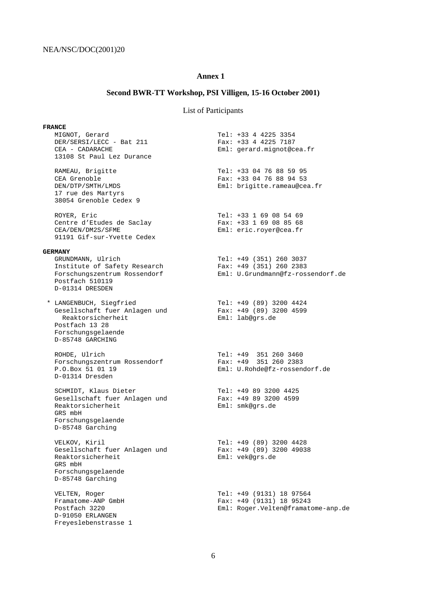# **Annex 1**

# **Second BWR-TT Workshop, PSI Villigen, 15-16 October 2001)**

# List of Participants

| <b>FRANCE</b>                                                                                                                             |                                                                                              |
|-------------------------------------------------------------------------------------------------------------------------------------------|----------------------------------------------------------------------------------------------|
| MIGNOT, Gerard<br>DER/SERSI/LECC - Bat 211<br>CEA - CADARACHE<br>13108 St Paul Lez Durance                                                | Tel: +33 4 4225 3354<br>Fax: $+33$ 4 4225 7187<br>Eml: gerard.mignot@cea.fr                  |
| RAMEAU, Brigitte<br>CEA Grenoble<br>DEN/DTP/SMTH/LMDS<br>17 rue des Martyrs<br>38054 Grenoble Cedex 9                                     | Tel: +33 04 76 88 59 95<br>Fax: $+33$ 04 76 88 94 53<br>Eml: brigitte.rameau@cea.fr          |
| ROYER, Eric<br>Centre d'Etudes de Saclay<br>CEA/DEN/DM2S/SFME<br>91191 Gif-sur-Yvette Cedex                                               | Tel: +33 1 69 08 54 69<br>Fax: $+33$ 1 69 08 85 68<br>Eml: eric.royer@cea.fr                 |
| <b>GERMANY</b><br>GRUNDMANN, Ulrich<br>Institute of Safety Research<br>Forschungszentrum Rossendorf<br>Postfach 510119<br>D-01314 DRESDEN | Tel: $+49$ (351) 260 3037<br>Fax: $+49$ (351) 260 2383<br>Eml: U.Grundmann@fz-rossendorf.de  |
| * LANGENBUCH, Siegfried<br>Gesellschaft fuer Anlagen und<br>Reaktorsicherheit<br>Postfach 13 28<br>Forschungsgelaende<br>D-85748 GARCHING | Tel: +49 (89) 3200 4424<br>Fax: $+49$ (89) 3200 4599<br>Eml: lab@qrs.de                      |
| ROHDE, Ulrich<br>Forschungszentrum Rossendorf<br>P.O.Box 51 01 19<br>D-01314 Dresden                                                      | Tel: +49 351 260 3460<br>Fax: +49 351 260 2383<br>Eml: U.Rohde@fz-rossendorf.de              |
| SCHMIDT, Klaus Dieter<br>Gesellschaft fuer Anlagen und<br>Reaktorsicherheit<br>GRS mbH<br>Forschungsgelaende<br>D-85748 Garching          | Tel: +49 89 3200 4425<br>Fax: $+49$ 89 3200 4599<br>Eml: smk@qrs.de                          |
| VELKOV, Kiril<br>Gesellschaft fuer Anlagen und<br>Reaktorsicherheit<br>GRS mbH<br>Forschungsgelaende<br>D-85748 Garching                  | Tel: +49 (89) 3200 4428<br>Fax: +49 (89) 3200 49038<br>Eml: vek@qrs.de                       |
| VELTEN, Roger<br>Framatome-ANP GmbH<br>Postfach 3220<br>D-91050 ERLANGEN<br>Freyeslebenstrasse 1                                          | Tel: +49 (9131) 18 97564<br>Fax: $+49$ (9131) 18 95243<br>Eml: Roger.Velten@framatome-anp.de |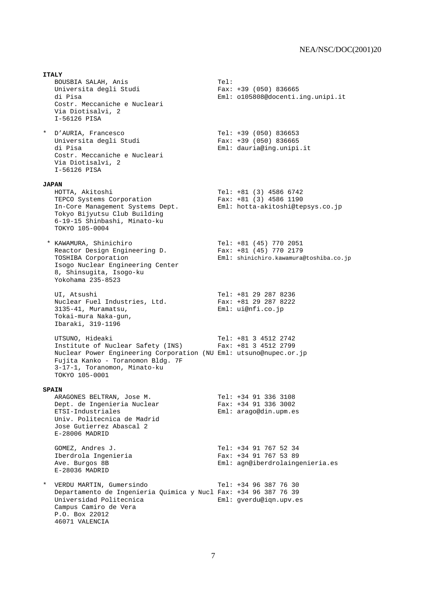**ITALY** BOUSBIA SALAH, Anis Tel: Universita degli Studi di Pisa Eml: o105808@docenti.ing.unipi.it Costr. Meccaniche e Nucleari Via Diotisalvi, 2 I-56126 PISA \* D'AURIA, Francesco Tel: +39 (050) 836653 Universita degli Studi Fax: +39 (050) 836665 di Pisa Eml: dauria@ing.unipi.it Costr. Meccaniche e Nucleari Via Diotisalvi, 2 I-56126 PISA **JAPAN** HOTTA, Akitoshi Tel: +81 (3) 4586 6742 TEPCO Systems Corporation Fax: +81 (3) 4586 1190 In-Core Management Systems Dept. Eml: hotta-akitoshi@tepsys.co.jp Tokyo Bijyutsu Club Building 6-19-15 Shinbashi, Minato-ku TOKYO 105-0004 \* KAWAMURA, Shinichiro Tel: +81 (45) 770 2051 Reactor Design Engineering D. Fax: +81 (45) 770 2179 TOSHIBA Corporation Eml: shinichiro.kawamura@toshiba.co.jp Isogo Nuclear Engineering Center 8, Shinsugita, Isogo-ku Yokohama 235-8523 UI, Atsushi Tel: +81 29 287 8236 or, nesasni<br>Nuclear Fuel Industries, Ltd.<br>3135-41, Muramatsu, Eml: ui@nfi.co.jp Tokai-mura Naka-gun, Ibaraki, 319-1196 UTSUNO, Hideaki Tel: +81 3 4512 2742 Institute of Nuclear Safety (INS) Fax: +81 3 4512 2799 Nuclear Power Engineering Corporation (NU Eml: utsuno@nupec.or.jp Fujita Kanko - Toranomon Bldg. 7F 3-17-1, Toranomon, Minato-ku TOKYO 105-0001 **SPAIN** ARAGONES BELTRAN, Jose M. Tel: +34 91 336 3108 ARAGONES BELIKAN, UOSE M.<br>
Dept. de Ingenieria Nuclear Fax: +34 91 336 3002<br>
ETSI-Industriales Eml: araqo@din.upm.es Eml: arago@din.upm.es Univ. Politecnica de Madrid Jose Gutierrez Abascal 2 E-28006 MADRID GOMEZ, Andres J. Tel: +34 91 767 52 34 Iberdrola Ingenieria Fax: +34 91 767 53 89 Ave. Burgos 8B **Eml:** agn@iberdrolaingenieria.es E-28036 MADRID \* VERDU MARTIN, Gumersindo Tel: +34 96 387 76 30 Departamento de Ingenieria Quimica y Nucl Fax: +34 96 387 76 39 Universidad Politecnica Eml: gverdu@iqn.upv.es Campus Camiro de Vera P.O. Box 22012 46071 VALENCIA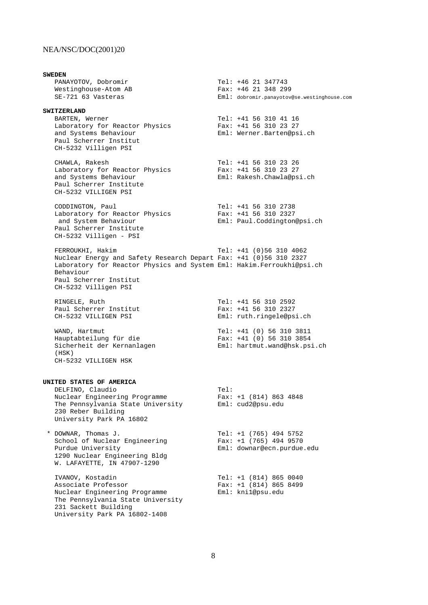**SWEDEN** PANAYOTOV, Dobromir Tel: +46 21 347743 Westinghouse-Atom AB SE-721 63 Vasteras **Eml:** dobromir.panayotov@se.westinghouse.com **SWITZERLAND** BARTEN, Werner<br>Laboratory for Reactor Physics Fax: +41 56 310 23 27 Laboratory for Reactor Physics and Systems Behaviour **Eml:** Werner.Barten@psi.ch Paul Scherrer Institut CH-5232 Villigen PSI CHAWLA, Rakesh Tel: +41 56 310 23 26 Laboratory for Reactor Physics Fax: +41 56 310 23 27 and Systems Behaviour Eml: Rakesh.Chawla@psi.ch Paul Scherrer Institute CH-5232 VILLIGEN PSI CODDINGTON, Paul Tel: +41 56 310 2738 Laboratory for Reactor Physics Fax: +41 56 310 2327 and System Behaviour **Eml:** Paul.Coddington@psi.ch Paul Scherrer Institute CH-5232 Villigen - PSI FERROUKHI, Hakim Tel: +41 (0)56 310 4062 Nuclear Energy and Safety Research Depart Fax: +41 (0)56 310 2327 Laboratory for Reactor Physics and System Eml: Hakim.Ferroukhi@psi.ch Behaviour Paul Scherrer Institut CH-5232 Villigen PSI RINGELE, Ruth Tel: +41 56 310 2592 Paul Scherrer Institut Fax: +41 56 310 2327 CH-5232 VILLIGEN PSI **Eml:** ruth.ringele@psi.ch WAND, Hartmut Tel: +41 (0) 56 310 3811 Hauptabteilung für die Fax: +41 (0) 56 310 3854 Sicherheit der Kernanlagen Eml: hartmut.wand@hsk.psi.ch  $(HSK)$  CH-5232 VILLIGEN HSK **UNITED STATES OF AMERICA** DELFINO, Claudio Tel: Nuclear Engineering Programme Fax: +1 (814) 863 4848 The Pennsylvania State University Eml: cud2@psu.edu 230 Reber Building University Park PA 16802 \* DOWNAR, Thomas J. Tel: +1 (765) 494 5752 School of Nuclear Engineering Fax: +1 (765) 494 9570 Purdue University Eml: downar@ecn.purdue.edu 1290 Nuclear Engineering Bldg W. LAFAYETTE, IN 47907-1290 IVANOV, Kostadin Tel: +1 (814) 865 0040 Associate Professor Fax: +1 (814) 865 8499 Nuclear Engineering Programme Eml: kni1@psu.edu The Pennsylvania State University 231 Sackett Building University Park PA 16802-1408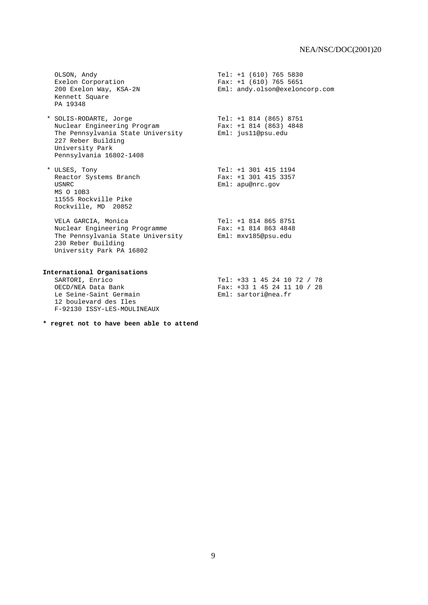OLSON, Andy Tel: +1 (610) 765 5830 Exelon Corporation Fax: +1 (610) 765 5651 200 Exelon Way, KSA-2N Eml: andy.olson@exeloncorp.com Kennett Square PA 19348

 \* SOLIS-RODARTE, Jorge Tel: +1 814 (865) 8751 Nuclear Engineering Program Fax: +1 814 (863) 4848 The Pennsylvania State University Eml: jus11@psu.edu 227 Reber Building University Park Pennsylvania 16802-1408

 \* ULSES, Tony Tel: +1 301 415 1194 Reactor Systems Branch USNRC Eml: apu@nrc.gov MS O 10B3 11555 Rockville Pike Rockville, MD 20852

 VELA GARCIA, Monica Tel: +1 814 865 8751 Nuclear Engineering Programme Fax: +1 814 863 4848 The Pennsylvania State University Eml: mxv185@psu.edu 230 Reber Building University Park PA 16802

# **International Organisations**

 SARTORI, Enrico Tel: +33 1 45 24 10 72 / 78 Fax: +33 1 45 24 11 10 / 28<br>Eml: sartori@nea.fr Le Seine-Saint Germain 12 boulevard des Iles F-92130 ISSY-LES-MOULINEAUX

### **\* regret not to have been able to attend**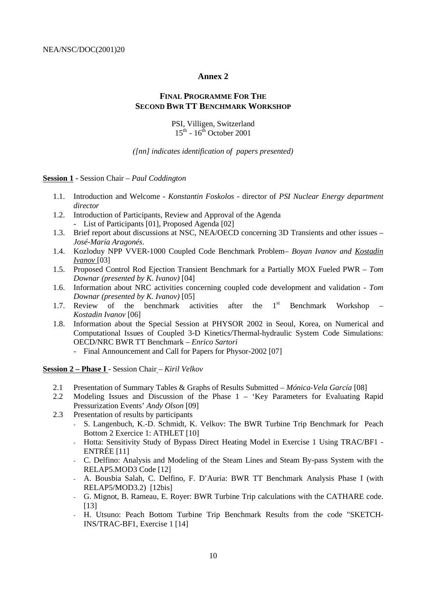## **Annex 2**

# **FINAL PROGRAMME FOR THE SECOND BWR TT BENCHMARK WORKSHOP**

### PSI, Villigen, Switzerland  $15^{th}$  -  $16^{th}$  October 2001

### *([nn] indicates identification of papers presented)*

**Session 1 -** Session Chair *– Paul Coddington*

- 1.1. Introduction and Welcome *Konstantin Foskolos* director of *PSI Nuclear Energy department director*
- 1.2. Introduction of Participants, Review and Approval of the Agenda List of Participants [01], Proposed Agenda [02]
- 1.3. Brief report about discussions at NSC, NEA/OECD concerning 3D Transients and other issues *– José-María Aragonés*.
- 1.4. Kozloduy NPP VVER-1000 Coupled Code Benchmark Problem *Boyan Ivanov and Kostadin Ivanov* [03]
- 1.5. Proposed Control Rod Ejection Transient Benchmark for a Partially MOX Fueled PWR  *Tom Downar (presented by K. Ivanov)* [04]
- 1.6. Information about NRC activities concerning coupled code development and validation *Tom Downar (presented by K. Ivanov)* [05]
- 1.7. Review of the benchmark activities after the 1<sup>st</sup> Benchmark Workshop *Kostadin Ivanov* [06]
- 1.8. Information about the Special Session at PHYSOR 2002 in Seoul, Korea, on Numerical and Computational Issues of Coupled 3-D Kinetics/Thermal-hydraulic System Code Simulations: OECD/NRC BWR TT Benchmark *– Enrico Sartori*
	- Final Announcement and Call for Papers for Physor-2002 [07]

**Session 2 – Phase I** - Session Chair *– Kiril Velkov*

- 2.1 Presentation of Summary Tables & Graphs of Results Submitted *Mónica-Vela García* [08]
- 2.2 Modeling Issues and Discussion of the Phase 1 *–* 'Key Parameters for Evaluating Rapid Pressurization Events' *Andy Olson* [09]
- 2.3 Presentation of results by participants
	- S. Langenbuch, K.-D. Schmidt, K. Velkov: The BWR Turbine Trip Benchmark for Peach Bottom 2 Exercice 1: ATHLET [10]
	- Hotta: Sensitivity Study of Bypass Direct Heating Model in Exercise 1 Using TRAC/BF1 ENTRÉE [11]
	- C. Delfino: Analysis and Modeling of the Steam Lines and Steam By-pass System with the RELAP5.MOD3 Code [12]
	- A. Bousbia Salah, C. Delfino, F. D'Auria: BWR TT Benchmark Analysis Phase I (with RELAP5/MOD3.2) [12bis]
	- G. Mignot, B. Rameau, E. Royer: BWR Turbine Trip calculations with the CATHARE code. [13]
	- H. Utsuno: Peach Bottom Turbine Trip Benchmark Results from the code "SKETCH-INS/TRAC-BF1, Exercise 1 [14]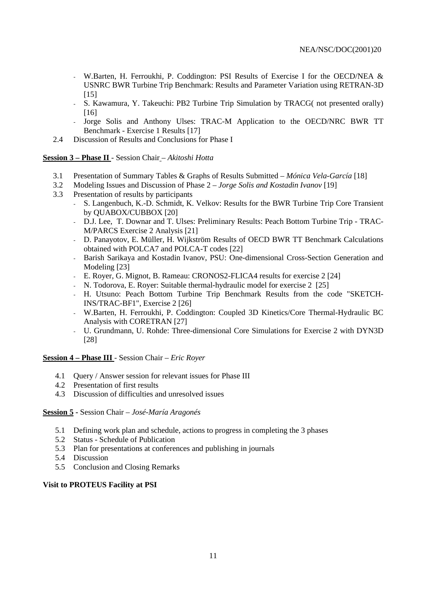- W.Barten, H. Ferroukhi, P. Coddington: PSI Results of Exercise I for the OECD/NEA & USNRC BWR Turbine Trip Benchmark: Results and Parameter Variation using RETRAN-3D [15]
- S. Kawamura, Y. Takeuchi: PB2 Turbine Trip Simulation by TRACG( not presented orally) [16]
- Jorge Solis and Anthony Ulses: TRAC-M Application to the OECD/NRC BWR TT Benchmark - Exercise 1 Results [17]
- 2.4 Discussion of Results and Conclusions for Phase I

### **Session 3 – Phase II** - Session Chair *– Akitoshi Hotta*

- 3.1 Presentation of Summary Tables & Graphs of Results Submitted  *Mónica Vela-García* [18]
- 3.2 Modeling Issues and Discussion of Phase 2  *Jorge Solis and Kostadin Ivanov* [19]
- 3.3 Presentation of results by participants
	- S. Langenbuch, K.-D. Schmidt, K. Velkov: Results for the BWR Turbine Trip Core Transient by QUABOX/CUBBOX [20]
	- D.J. Lee, T. Downar and T. Ulses: Preliminary Results: Peach Bottom Turbine Trip TRAC-M/PARCS Exercise 2 Analysis [21]
	- D. Panayotov, E. Müller, H. Wijkström Results of OECD BWR TT Benchmark Calculations obtained with POLCA7 and POLCA-T codes [22]
	- Barish Sarikaya and Kostadin Ivanov, PSU: One-dimensional Cross-Section Generation and Modeling [23]
	- E. Royer, G. Mignot, B. Rameau: CRONOS2-FLICA4 results for exercise 2 [24]
	- N. Todorova, E. Royer: Suitable thermal-hydraulic model for exercise 2 [25]
	- H. Utsuno: Peach Bottom Turbine Trip Benchmark Results from the code "SKETCH-INS/TRAC-BF1", Exercise 2 [26]
	- W.Barten, H. Ferroukhi, P. Coddington: Coupled 3D Kinetics/Core Thermal-Hydraulic BC Analysis with CORETRAN [27]
	- U. Grundmann, U. Rohde: Three-dimensional Core Simulations for Exercise 2 with DYN3D [28]

# **Session 4 – Phase III** - Session Chair *– Eric Royer*

- 4.1 Query / Answer session for relevant issues for Phase III
- 4.2 Presentation of first results
- 4.3 Discussion of difficulties and unresolved issues

## **Session 5 -** Session Chair *– José-María Aragonés*

- 5.1 Defining work plan and schedule, actions to progress in completing the 3 phases
- 5.2 Status Schedule of Publication
- 5.3 Plan for presentations at conferences and publishing in journals
- 5.4 Discussion
- 5.5 Conclusion and Closing Remarks

### **Visit to PROTEUS Facility at PSI**